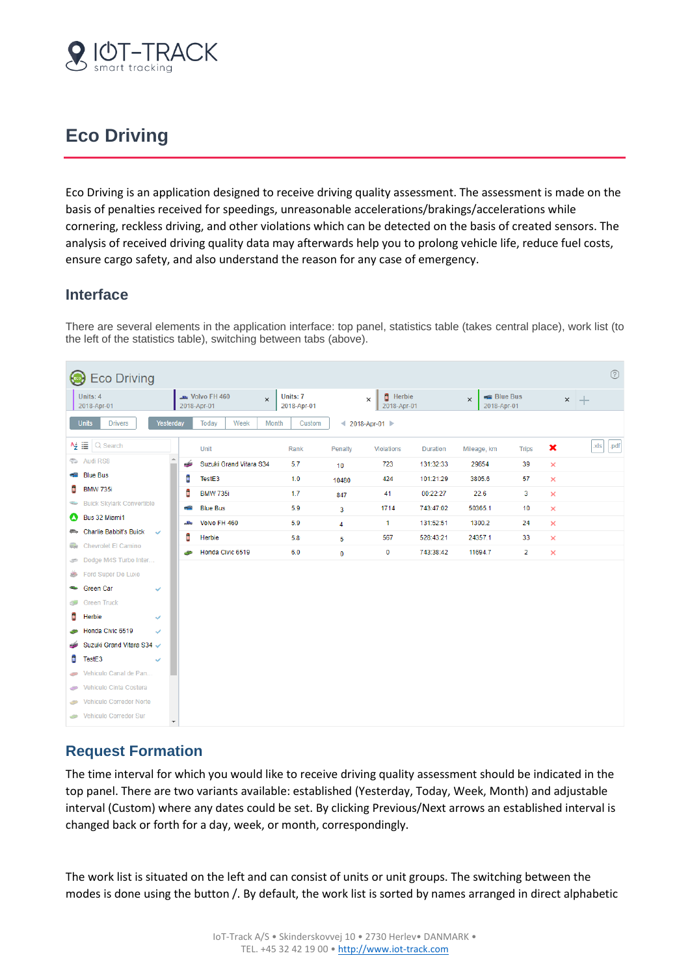

# **Eco Driving**

Eco Driving is an application designed to receive driving quality assessment. The assessment is made on the basis of penalties received for speedings, unreasonable accelerations/brakings/accelerations while cornering, reckless driving, and other violations which can be detected on the basis of created sensors. The analysis of received driving quality data may afterwards help you to prolong vehicle life, reduce fuel costs, ensure cargo safety, and also understand the reason for any case of emergency.

### **Interface**

There are several elements in the application interface: top panel, statistics table (takes central place), work list (to the left of the statistics table), switching between tabs (above).

|                       | $\circledR$<br><b>Eco Driving</b>                          |                         |        |                                         |          |                         |                |                                          |                 |                                            |                |                |              |
|-----------------------|------------------------------------------------------------|-------------------------|--------|-----------------------------------------|----------|-------------------------|----------------|------------------------------------------|-----------------|--------------------------------------------|----------------|----------------|--------------|
|                       | Units: 4<br>2018-Apr-01                                    |                         |        | <b>July</b> Volvo FH 460<br>2018-Apr-01 | $\times$ | Units: 7<br>2018-Apr-01 |                | <b>Herbie</b><br>$\times$<br>2018-Apr-01 |                 | <b>Blue Bus</b><br>$\times$<br>2018-Apr-01 |                |                | $\times$ $+$ |
|                       | <b>Units</b><br><b>Drivers</b>                             | Yesterday               |        | Today<br>Week                           | Month    | Custom                  |                | 4 2018-Apr-01 ▶                          |                 |                                            |                |                |              |
|                       | $A_{\mathbf{Z}}^{\perp} \equiv  \bigcirc \mathsf{S}$ earch |                         |        | Unit                                    |          | Rank                    | Penalty        | <b>Violations</b>                        | <b>Duration</b> | Mileage, km                                | <b>Trips</b>   | ×              | .xls<br>.pdf |
|                       | <b>Audi RS8</b>                                            |                         | خت     | Suzuki Grand Vitara S34                 |          | 5.7                     | 10             | 723                                      | 131:32:33       | 29654                                      | 39             | $\times$       |              |
|                       | <b>Blue Bus</b>                                            |                         | û      | TestE3                                  |          | 1.0                     | 10480          | 424                                      | 101:21:29       | 3805.6                                     | 57             | $\pmb{\times}$ |              |
| û                     | <b>BMW 735i</b>                                            |                         | Û      | <b>BMW 735i</b>                         |          | 1.7                     | 847            | 41                                       | 00:22:27        | 22.6                                       | 3              | $\pmb{\times}$ |              |
| $\frac{1}{2}$         | <b>Buick Skylark Convertible</b>                           |                         | - 2    | <b>Blue Bus</b>                         |          | 5.9                     | 3              | 1714                                     | 743:47:02       | 50365.1                                    | 10             | $\times$       |              |
| $\boldsymbol{\omega}$ | Bus 32 Miami1                                              |                         | والأود | Volvo FH 460                            |          | 5.9                     | $\overline{4}$ | 1                                        | 131:52:51       | 1300.2                                     | 24             | $\times$       |              |
| em.                   | Charlie Babbit's Buick<br><b>Chevrolet El Camino</b>       | $\checkmark$            | C      | Herbie                                  |          | 5.8                     | 5              | 567                                      | 528:43:21       | 24357.1                                    | 33             | $\times$       |              |
| ee.                   | Dodge M4S Turbo Inter                                      |                         | حت     | Honda Civic 6519                        |          | 6.0                     | $\bf{0}$       | 0                                        | 743:38:42       | 11694.7                                    | $\overline{2}$ | $\times$       |              |
| دهن                   | Ford Super De Luxe                                         |                         |        |                                         |          |                         |                |                                          |                 |                                            |                |                |              |
| ÷                     | Green Car                                                  | ✓                       |        |                                         |          |                         |                |                                          |                 |                                            |                |                |              |
|                       | <b>Green Truck</b>                                         |                         |        |                                         |          |                         |                |                                          |                 |                                            |                |                |              |
| t                     | Herbie                                                     | $\checkmark$            |        |                                         |          |                         |                |                                          |                 |                                            |                |                |              |
|                       | Honda Civic 6519                                           | $\checkmark$            |        |                                         |          |                         |                |                                          |                 |                                            |                |                |              |
|                       | Suzuki Grand Vitara S34 V                                  |                         |        |                                         |          |                         |                |                                          |                 |                                            |                |                |              |
| û                     | TestE3                                                     | $\checkmark$            |        |                                         |          |                         |                |                                          |                 |                                            |                |                |              |
| حزله                  | Vehiculo Canal de Pan                                      |                         |        |                                         |          |                         |                |                                          |                 |                                            |                |                |              |
| <b>AND</b>            | Vehiculo Cinta Costera                                     |                         |        |                                         |          |                         |                |                                          |                 |                                            |                |                |              |
| $\frac{1}{2}$         | <b>Vehiculo Corredor Norte</b>                             |                         |        |                                         |          |                         |                |                                          |                 |                                            |                |                |              |
| $\sim$                | Vehiculo Corredor Sur                                      | $\overline{\mathbf{v}}$ |        |                                         |          |                         |                |                                          |                 |                                            |                |                |              |

# **Request Formation**

The time interval for which you would like to receive driving quality assessment should be indicated in the top panel. There are two variants available: established (Yesterday, Today, Week, Month) and adjustable interval (Custom) where any dates could be set. By clicking Previous/Next arrows an established interval is changed back or forth for a day, week, or month, correspondingly.

The work list is situated on the left and can consist of units or unit groups. The switching between the modes is done using the button /. By default, the work list is sorted by names arranged in direct alphabetic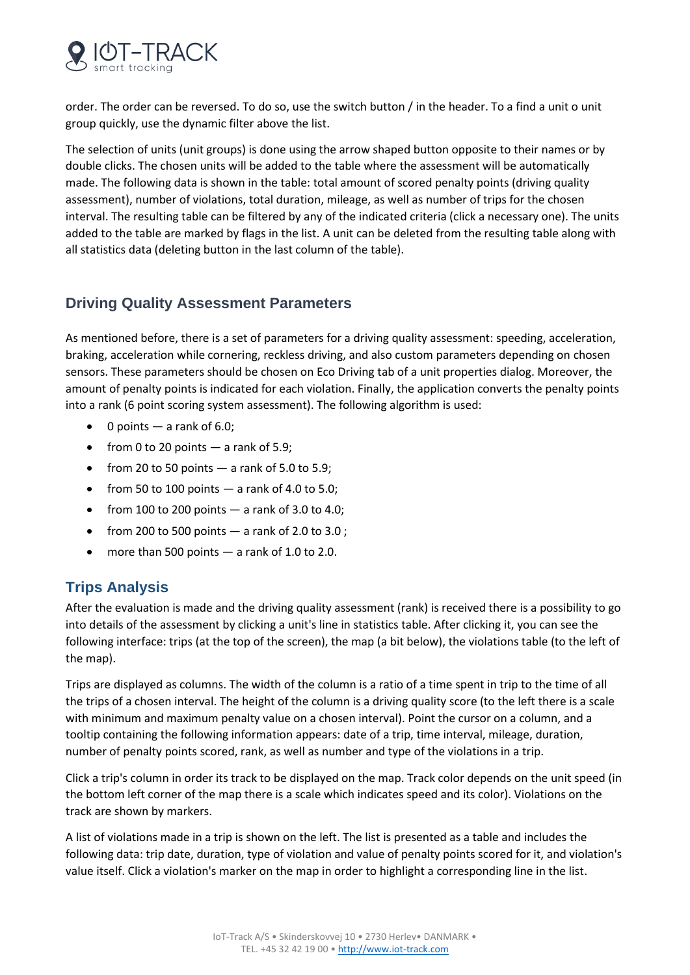

order. The order can be reversed. To do so, use the switch button / in the header. To a find a unit o unit group quickly, use the dynamic filter above the list.

The selection of units (unit groups) is done using the arrow shaped button opposite to their names or by double clicks. The chosen units will be added to the table where the assessment will be automatically made. The following data is shown in the table: total amount of scored penalty points (driving quality assessment), number of violations, total duration, mileage, as well as number of trips for the chosen interval. The resulting table can be filtered by any of the indicated criteria (click a necessary one). The units added to the table are marked by flags in the list. A unit can be deleted from the resulting table along with all statistics data (deleting button in the last column of the table).

## **Driving Quality Assessment Parameters**

As mentioned before, there is a set of parameters for a driving quality assessment: speeding, acceleration, braking, acceleration while cornering, reckless driving, and also custom parameters depending on chosen sensors. These parameters should be chosen on Eco Driving tab of a unit properties dialog. Moreover, the amount of penalty points is indicated for each violation. Finally, the application converts the penalty points into a rank (6 point scoring system assessment). The following algorithm is used:

- $\bullet$  0 points  $-$  a rank of 6.0;
- from 0 to 20 points  $-$  a rank of 5.9;
- from 20 to 50 points  $-$  a rank of 5.0 to 5.9;
- from 50 to 100 points  $-$  a rank of 4.0 to 5.0;
- from 100 to 200 points  $-$  a rank of 3.0 to 4.0;
- from 200 to 500 points  $-$  a rank of 2.0 to 3.0;
- more than 500 points  $-$  a rank of 1.0 to 2.0.

### **Trips Analysis**

After the evaluation is made and the driving quality assessment (rank) is received there is a possibility to go into details of the assessment by clicking a unit's line in statistics table. After clicking it, you can see the following interface: trips (at the top of the screen), the map (a bit below), the violations table (to the left of the map).

Trips are displayed as columns. The width of the column is a ratio of a time spent in trip to the time of all the trips of a chosen interval. The height of the column is a driving quality score (to the left there is a scale with minimum and maximum penalty value on a chosen interval). Point the cursor on a column, and a tooltip containing the following information appears: date of a trip, time interval, mileage, duration, number of penalty points scored, rank, as well as number and type of the violations in a trip.

Click a trip's column in order its track to be displayed on the map. Track color depends on the unit speed (in the bottom left corner of the map there is a scale which indicates speed and its color). Violations on the track are shown by markers.

A list of violations made in a trip is shown on the left. The list is presented as a table and includes the following data: trip date, duration, type of violation and value of penalty points scored for it, and violation's value itself. Click a violation's marker on the map in order to highlight a corresponding line in the list.